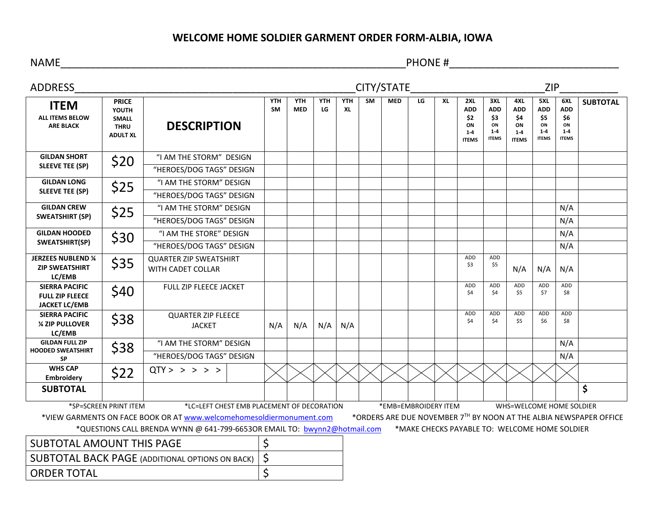## **WELCOME HOME SOLDIER GARMENT ORDER FORM-ALBIA, IOWA**

NAME\_\_\_\_\_\_\_\_\_\_\_\_\_\_\_\_\_\_\_\_\_\_\_\_\_\_\_\_\_\_\_\_\_\_\_\_\_\_\_\_\_\_\_\_\_\_\_\_\_\_\_\_\_\_\_\_\_\_\_PHONE #\_\_\_\_\_\_\_\_\_\_\_\_\_\_\_\_\_\_\_\_\_\_\_\_\_\_\_\_\_

| <b>ADDRESS</b>                                                                                                                             | <b>CITY/STATE</b>                                                       |                                                    |                         |                          |                  |                  |           |            | <b>ZIP</b> |           |                                                           |                                                           |                                                           |                                                           |                                                           |                 |
|--------------------------------------------------------------------------------------------------------------------------------------------|-------------------------------------------------------------------------|----------------------------------------------------|-------------------------|--------------------------|------------------|------------------|-----------|------------|------------|-----------|-----------------------------------------------------------|-----------------------------------------------------------|-----------------------------------------------------------|-----------------------------------------------------------|-----------------------------------------------------------|-----------------|
| <b>ITEM</b><br><b>ALL ITEMS BELOW</b><br><b>ARE BLACK</b>                                                                                  | <b>PRICE</b><br>YOUTH<br><b>SMALL</b><br><b>THRU</b><br><b>ADULT XL</b> | <b>DESCRIPTION</b>                                 | <b>YTH</b><br><b>SM</b> | <b>YTH</b><br><b>MED</b> | <b>YTH</b><br>LG | <b>YTH</b><br>XL | <b>SM</b> | <b>MED</b> | LG         | <b>XL</b> | 2XL<br><b>ADD</b><br>\$2<br>ON<br>$1 - 4$<br><b>ITEMS</b> | 3XL<br><b>ADD</b><br>\$3<br>ON<br>$1 - 4$<br><b>ITEMS</b> | 4XL<br><b>ADD</b><br>\$4<br>ON<br>$1 - 4$<br><b>ITEMS</b> | 5XL<br><b>ADD</b><br>\$5<br>ON<br>$1 - 4$<br><b>ITEMS</b> | 6XL<br><b>ADD</b><br>\$6<br>ON<br>$1 - 4$<br><b>ITEMS</b> | <b>SUBTOTAL</b> |
| <b>GILDAN SHORT</b><br><b>SLEEVE TEE (SP)</b>                                                                                              | \$20                                                                    | "I AM THE STORM" DESIGN                            |                         |                          |                  |                  |           |            |            |           |                                                           |                                                           |                                                           |                                                           |                                                           |                 |
|                                                                                                                                            |                                                                         | "HEROES/DOG TAGS" DESIGN                           |                         |                          |                  |                  |           |            |            |           |                                                           |                                                           |                                                           |                                                           |                                                           |                 |
| <b>GILDAN LONG</b><br><b>SLEEVE TEE (SP)</b>                                                                                               | \$25                                                                    | "I AM THE STORM" DESIGN                            |                         |                          |                  |                  |           |            |            |           |                                                           |                                                           |                                                           |                                                           |                                                           |                 |
|                                                                                                                                            |                                                                         | "HEROES/DOG TAGS" DESIGN                           |                         |                          |                  |                  |           |            |            |           |                                                           |                                                           |                                                           |                                                           |                                                           |                 |
| <b>GILDAN CREW</b><br><b>SWEATSHIRT (SP)</b>                                                                                               | \$25                                                                    | "I AM THE STORM" DESIGN                            |                         |                          |                  |                  |           |            |            |           |                                                           |                                                           |                                                           |                                                           | N/A                                                       |                 |
|                                                                                                                                            |                                                                         | "HEROES/DOG TAGS" DESIGN                           |                         |                          |                  |                  |           |            |            |           |                                                           |                                                           |                                                           |                                                           | N/A                                                       |                 |
| <b>GILDAN HOODED</b><br>SWEATSHIRT(SP)                                                                                                     | \$30                                                                    | "I AM THE STORE" DESIGN                            |                         |                          |                  |                  |           |            |            |           |                                                           |                                                           |                                                           |                                                           | N/A                                                       |                 |
|                                                                                                                                            |                                                                         | "HEROES/DOG TAGS" DESIGN                           |                         |                          |                  |                  |           |            |            |           |                                                           |                                                           |                                                           |                                                           | N/A                                                       |                 |
| <b>JERZEES NUBLEND 1/4</b><br><b>ZIP SWEATSHIRT</b><br>LC/EMB                                                                              | \$35                                                                    | <b>QUARTER ZIP SWEATSHIRT</b><br>WITH CADET COLLAR |                         |                          |                  |                  |           |            |            |           | ADD<br>\$3                                                | ADD<br>\$5                                                | N/A                                                       | N/A                                                       | N/A                                                       |                 |
| <b>SIERRA PACIFIC</b><br><b>FULL ZIP FLEECE</b><br><b>JACKET LC/EMB</b>                                                                    | \$40                                                                    | FULL ZIP FLEECE JACKET                             |                         |                          |                  |                  |           |            |            |           | ADD<br>\$4                                                | <b>ADD</b><br>\$4                                         | ADD<br>\$5                                                | <b>ADD</b><br>\$7                                         | ADD<br>\$8                                                |                 |
| <b>SIERRA PACIFIC</b><br><b>1/4 ZIP PULLOVER</b><br>LC/EMB                                                                                 | \$38                                                                    | <b>QUARTER ZIP FLEECE</b><br><b>JACKET</b>         |                         | N/A                      | N/A              | N/A              |           |            |            |           | ADD<br>\$4                                                | ADD<br>\$4                                                | <b>ADD</b><br>\$5                                         | ADD<br>\$6                                                | ADD<br>\$8                                                |                 |
| <b>GILDAN FULL ZIP</b><br><b>HOODED SWEATSHIRT</b><br><b>SP</b>                                                                            | \$38                                                                    | "I AM THE STORM" DESIGN                            |                         |                          |                  |                  |           |            |            |           |                                                           |                                                           |                                                           |                                                           | N/A                                                       |                 |
|                                                                                                                                            |                                                                         | "HEROES/DOG TAGS" DESIGN                           |                         |                          |                  |                  |           |            |            |           |                                                           |                                                           |                                                           |                                                           | N/A                                                       |                 |
| <b>WHS CAP</b><br><b>Embroidery</b>                                                                                                        | \$22                                                                    | QTY > > > > >                                      |                         |                          |                  |                  |           |            |            |           |                                                           |                                                           |                                                           |                                                           |                                                           |                 |
| <b>SUBTOTAL</b>                                                                                                                            |                                                                         |                                                    |                         |                          |                  |                  |           |            |            |           |                                                           |                                                           |                                                           |                                                           |                                                           | \$              |
| *SP=SCREEN PRINT ITEM<br>*LC=LEFT CHEST EMB PLACEMENT OF DECORATION<br>*EMB=EMBROIDERY ITEM<br>WHS=WELCOME HOME SOLDIER                    |                                                                         |                                                    |                         |                          |                  |                  |           |            |            |           |                                                           |                                                           |                                                           |                                                           |                                                           |                 |
| *VIEW GARMENTS ON FACE BOOK OR AT www.welcomehomesoldiermonument.com<br>*ORDERS ARE DUE NOVEMBER 7TH BY NOON AT THE ALBIA NEWSPAPER OFFICE |                                                                         |                                                    |                         |                          |                  |                  |           |            |            |           |                                                           |                                                           |                                                           |                                                           |                                                           |                 |
| *QUESTIONS CALL BRENDA WYNN @ 641-799-6653OR EMAIL TO: bwynn2@hotmail.com<br>*MAKE CHECKS PAYABLE TO: WELCOME HOME SOLDIER                 |                                                                         |                                                    |                         |                          |                  |                  |           |            |            |           |                                                           |                                                           |                                                           |                                                           |                                                           |                 |
| <b>SUBTOTAL AMOUNT THIS PAGE</b>                                                                                                           |                                                                         |                                                    | \$                      |                          |                  |                  |           |            |            |           |                                                           |                                                           |                                                           |                                                           |                                                           |                 |
| <b>SUBTOTAL BACK PAGE (ADDITIONAL OPTIONS ON BACK)</b>                                                                                     |                                                                         |                                                    | \$                      |                          |                  |                  |           |            |            |           |                                                           |                                                           |                                                           |                                                           |                                                           |                 |
| <b>ORDER TOTAL</b>                                                                                                                         |                                                                         |                                                    | \$                      |                          |                  |                  |           |            |            |           |                                                           |                                                           |                                                           |                                                           |                                                           |                 |